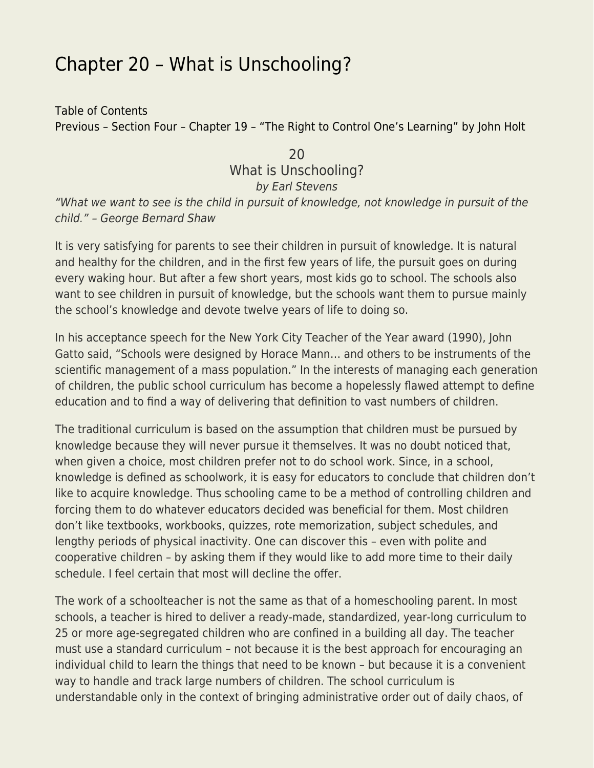## [Chapter 20 – What is Unschooling?](https://everything-voluntary.com/everything-voluntary-chapter-20)

[Table of Contents](http://everything-voluntary.com/p/book-project.html) [Previous – Section Four – Chapter 19 – "The Right to Control One's Learning" by John Holt](http://everything-voluntary.com/2012/05/everything-voluntary-chapter-19.html)

## 20 What is Unschooling? by Earl Stevens

"What we want to see is the child in pursuit of knowledge, not knowledge in pursuit of the child." – George Bernard Shaw

It is very satisfying for parents to see their children in pursuit of knowledge. It is natural and healthy for the children, and in the first few years of life, the pursuit goes on during every waking hour. But after a few short years, most kids go to school. The schools also want to see children in pursuit of knowledge, but the schools want them to pursue mainly the school's knowledge and devote twelve years of life to doing so.

In his acceptance speech for the New York City Teacher of the Year award (1990), John Gatto said, "Schools were designed by Horace Mann… and others to be instruments of the scientific management of a mass population." In the interests of managing each generation of children, the public school curriculum has become a hopelessly flawed attempt to define education and to find a way of delivering that definition to vast numbers of children.

The traditional curriculum is based on the assumption that children must be pursued by knowledge because they will never pursue it themselves. It was no doubt noticed that, when given a choice, most children prefer not to do school work. Since, in a school, knowledge is defined as schoolwork, it is easy for educators to conclude that children don't like to acquire knowledge. Thus schooling came to be a method of controlling children and forcing them to do whatever educators decided was beneficial for them. Most children don't like textbooks, workbooks, quizzes, rote memorization, subject schedules, and lengthy periods of physical inactivity. One can discover this – even with polite and cooperative children – by asking them if they would like to add more time to their daily schedule. I feel certain that most will decline the offer.

The work of a schoolteacher is not the same as that of a homeschooling parent. In most schools, a teacher is hired to deliver a ready-made, standardized, year-long curriculum to 25 or more age-segregated children who are confined in a building all day. The teacher must use a standard curriculum – not because it is the best approach for encouraging an individual child to learn the things that need to be known – but because it is a convenient way to handle and track large numbers of children. The school curriculum is understandable only in the context of bringing administrative order out of daily chaos, of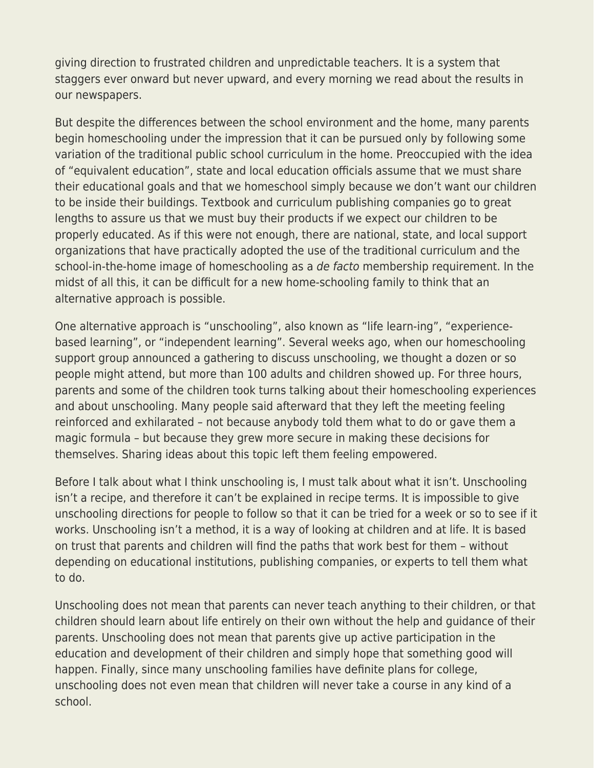giving direction to frustrated children and unpredictable teachers. It is a system that staggers ever onward but never upward, and every morning we read about the results in our newspapers.

But despite the differences between the school environment and the home, many parents begin homeschooling under the impression that it can be pursued only by following some variation of the traditional public school curriculum in the home. Preoccupied with the idea of "equivalent education", state and local education officials assume that we must share their educational goals and that we homeschool simply because we don't want our children to be inside their buildings. Textbook and curriculum publishing companies go to great lengths to assure us that we must buy their products if we expect our children to be properly educated. As if this were not enough, there are national, state, and local support organizations that have practically adopted the use of the traditional curriculum and the school-in-the-home image of homeschooling as a de facto membership requirement. In the midst of all this, it can be difficult for a new home-schooling family to think that an alternative approach is possible.

One alternative approach is "unschooling", also known as "life learn-ing", "experiencebased learning", or "independent learning". Several weeks ago, when our homeschooling support group announced a gathering to discuss unschooling, we thought a dozen or so people might attend, but more than 100 adults and children showed up. For three hours, parents and some of the children took turns talking about their homeschooling experiences and about unschooling. Many people said afterward that they left the meeting feeling reinforced and exhilarated – not because anybody told them what to do or gave them a magic formula – but because they grew more secure in making these decisions for themselves. Sharing ideas about this topic left them feeling empowered.

Before I talk about what I think unschooling is, I must talk about what it isn't. Unschooling isn't a recipe, and therefore it can't be explained in recipe terms. It is impossible to give unschooling directions for people to follow so that it can be tried for a week or so to see if it works. Unschooling isn't a method, it is a way of looking at children and at life. It is based on trust that parents and children will find the paths that work best for them – without depending on educational institutions, publishing companies, or experts to tell them what to do.

Unschooling does not mean that parents can never teach anything to their children, or that children should learn about life entirely on their own without the help and guidance of their parents. Unschooling does not mean that parents give up active participation in the education and development of their children and simply hope that something good will happen. Finally, since many unschooling families have definite plans for college, unschooling does not even mean that children will never take a course in any kind of a school.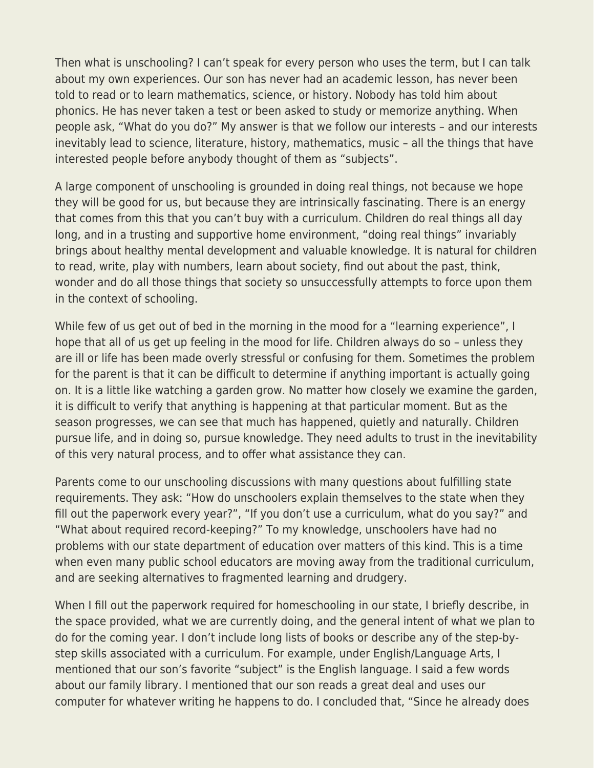Then what is unschooling? I can't speak for every person who uses the term, but I can talk about my own experiences. Our son has never had an academic lesson, has never been told to read or to learn mathematics, science, or history. Nobody has told him about phonics. He has never taken a test or been asked to study or memorize anything. When people ask, "What do you do?" My answer is that we follow our interests – and our interests inevitably lead to science, literature, history, mathematics, music – all the things that have interested people before anybody thought of them as "subjects".

A large component of unschooling is grounded in doing real things, not because we hope they will be good for us, but because they are intrinsically fascinating. There is an energy that comes from this that you can't buy with a curriculum. Children do real things all day long, and in a trusting and supportive home environment, "doing real things" invariably brings about healthy mental development and valuable knowledge. It is natural for children to read, write, play with numbers, learn about society, find out about the past, think, wonder and do all those things that society so unsuccessfully attempts to force upon them in the context of schooling.

While few of us get out of bed in the morning in the mood for a "learning experience", I hope that all of us get up feeling in the mood for life. Children always do so – unless they are ill or life has been made overly stressful or confusing for them. Sometimes the problem for the parent is that it can be difficult to determine if anything important is actually going on. It is a little like watching a garden grow. No matter how closely we examine the garden, it is difficult to verify that anything is happening at that particular moment. But as the season progresses, we can see that much has happened, quietly and naturally. Children pursue life, and in doing so, pursue knowledge. They need adults to trust in the inevitability of this very natural process, and to offer what assistance they can.

Parents come to our unschooling discussions with many questions about fulfilling state requirements. They ask: "How do unschoolers explain themselves to the state when they fill out the paperwork every year?", "If you don't use a curriculum, what do you say?" and "What about required record-keeping?" To my knowledge, unschoolers have had no problems with our state department of education over matters of this kind. This is a time when even many public school educators are moving away from the traditional curriculum, and are seeking alternatives to fragmented learning and drudgery.

When I fill out the paperwork required for homeschooling in our state, I briefly describe, in the space provided, what we are currently doing, and the general intent of what we plan to do for the coming year. I don't include long lists of books or describe any of the step-bystep skills associated with a curriculum. For example, under English/Language Arts, I mentioned that our son's favorite "subject" is the English language. I said a few words about our family library. I mentioned that our son reads a great deal and uses our computer for whatever writing he happens to do. I concluded that, "Since he already does